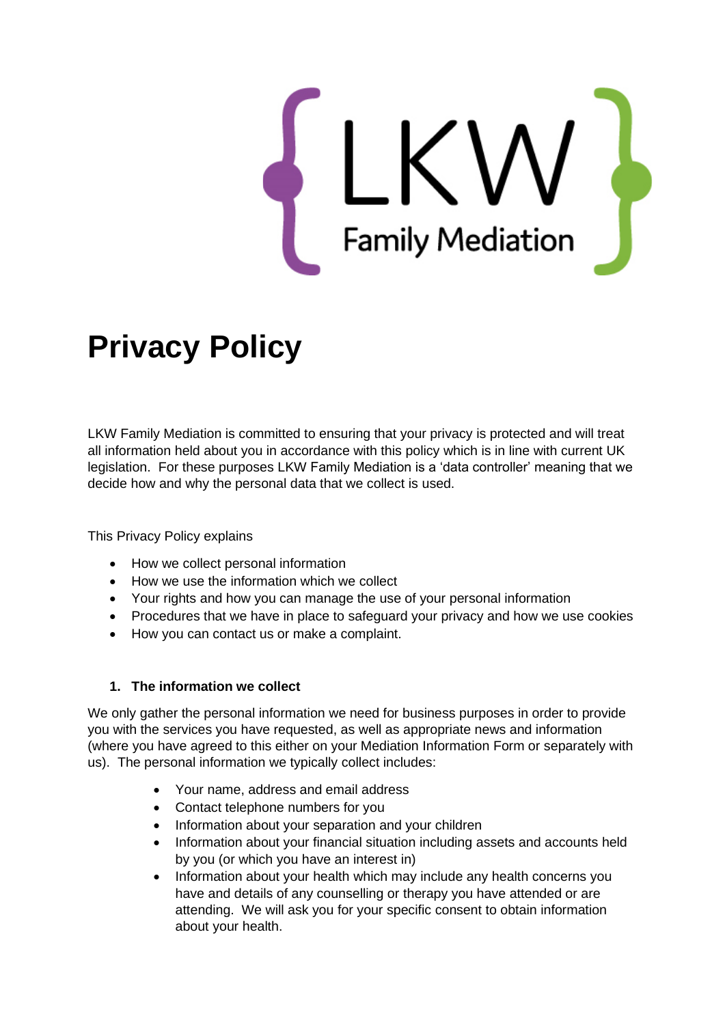

# **Privacy Policy**

LKW Family Mediation is committed to ensuring that your privacy is protected and will treat all information held about you in accordance with this policy which is in line with current UK legislation. For these purposes LKW Family Mediation is a 'data controller' meaning that we decide how and why the personal data that we collect is used.

This Privacy Policy explains

- How we collect personal information
- How we use the information which we collect
- Your rights and how you can manage the use of your personal information
- Procedures that we have in place to safeguard your privacy and how we use cookies
- How you can contact us or make a complaint.

## **1. The information we collect**

We only gather the personal information we need for business purposes in order to provide you with the services you have requested, as well as appropriate news and information (where you have agreed to this either on your Mediation Information Form or separately with us). The personal information we typically collect includes:

- Your name, address and email address
- Contact telephone numbers for you
- Information about your separation and your children
- Information about your financial situation including assets and accounts held by you (or which you have an interest in)
- Information about your health which may include any health concerns you have and details of any counselling or therapy you have attended or are attending. We will ask you for your specific consent to obtain information about your health.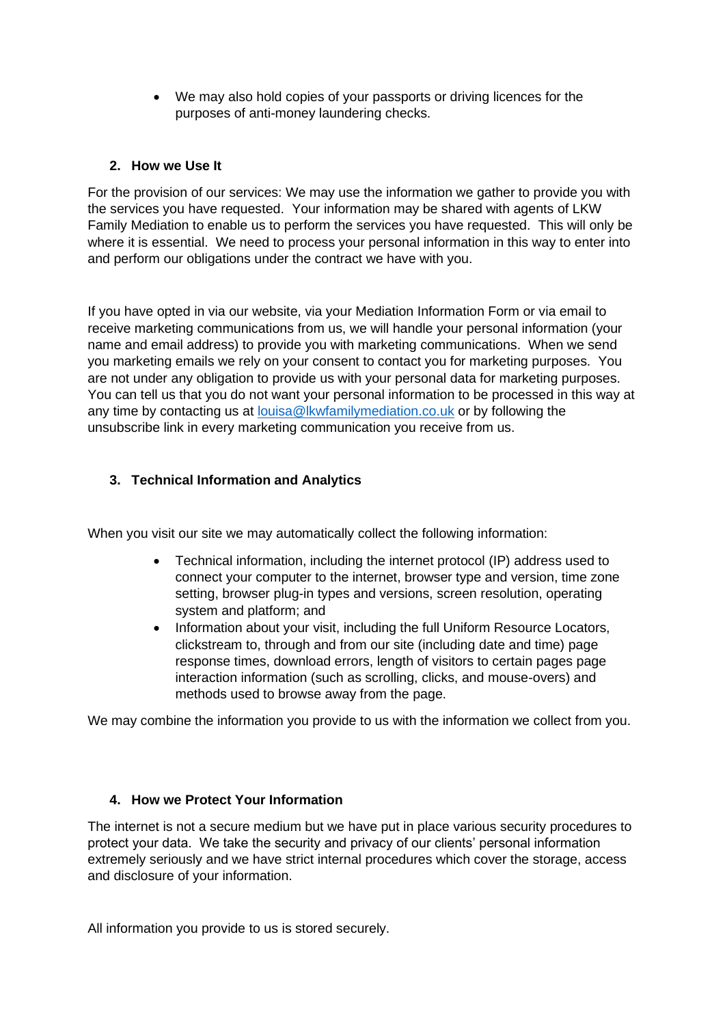• We may also hold copies of your passports or driving licences for the purposes of anti-money laundering checks.

#### **2. How we Use It**

For the provision of our services: We may use the information we gather to provide you with the services you have requested. Your information may be shared with agents of LKW Family Mediation to enable us to perform the services you have requested. This will only be where it is essential. We need to process your personal information in this way to enter into and perform our obligations under the contract we have with you.

If you have opted in via our website, via your Mediation Information Form or via email to receive marketing communications from us, we will handle your personal information (your name and email address) to provide you with marketing communications. When we send you marketing emails we rely on your consent to contact you for marketing purposes. You are not under any obligation to provide us with your personal data for marketing purposes. You can tell us that you do not want your personal information to be processed in this way at any time by contacting us at [louisa@lkwfamilymediation.co.uk](mailto:louisa@lkwfamilymediation.co.uk) or by following the unsubscribe link in every marketing communication you receive from us.

# **3. Technical Information and Analytics**

When you visit our site we may automatically collect the following information:

- Technical information, including the internet protocol (IP) address used to connect your computer to the internet, browser type and version, time zone setting, browser plug-in types and versions, screen resolution, operating system and platform; and
- Information about your visit, including the full Uniform Resource Locators, clickstream to, through and from our site (including date and time) page response times, download errors, length of visitors to certain pages page interaction information (such as scrolling, clicks, and mouse-overs) and methods used to browse away from the page.

We may combine the information you provide to us with the information we collect from you.

#### **4. How we Protect Your Information**

The internet is not a secure medium but we have put in place various security procedures to protect your data. We take the security and privacy of our clients' personal information extremely seriously and we have strict internal procedures which cover the storage, access and disclosure of your information.

All information you provide to us is stored securely.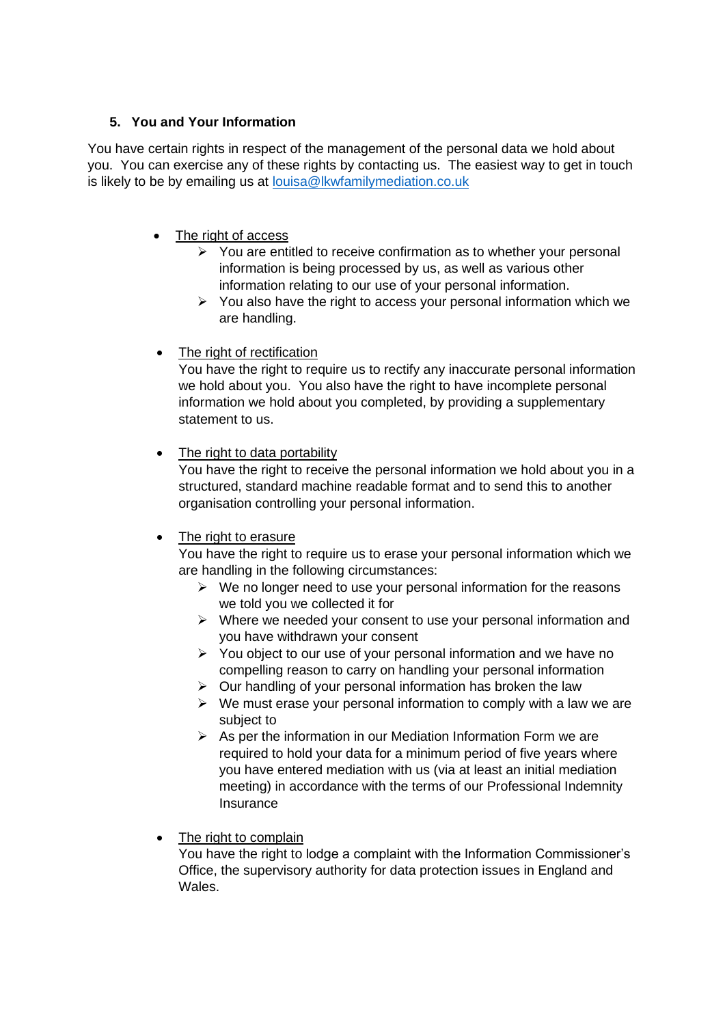# **5. You and Your Information**

You have certain rights in respect of the management of the personal data we hold about you. You can exercise any of these rights by contacting us. The easiest way to get in touch is likely to be by emailing us at [louisa@lkwfamilymediation.co.uk](mailto:louisa@lkwfamilymediation.co.uk)

## • The right of access

- ➢ You are entitled to receive confirmation as to whether your personal information is being processed by us, as well as various other information relating to our use of your personal information.
- ➢ You also have the right to access your personal information which we are handling.
- The right of rectification

You have the right to require us to rectify any inaccurate personal information we hold about you. You also have the right to have incomplete personal information we hold about you completed, by providing a supplementary statement to us.

## • The right to data portability

You have the right to receive the personal information we hold about you in a structured, standard machine readable format and to send this to another organisation controlling your personal information.

## • The right to erasure

You have the right to require us to erase your personal information which we are handling in the following circumstances:

- $\triangleright$  We no longer need to use your personal information for the reasons we told you we collected it for
- ➢ Where we needed your consent to use your personal information and you have withdrawn your consent
- ➢ You object to our use of your personal information and we have no compelling reason to carry on handling your personal information
- ➢ Our handling of your personal information has broken the law
- $\triangleright$  We must erase your personal information to comply with a law we are subject to
- $\triangleright$  As per the information in our Mediation Information Form we are required to hold your data for a minimum period of five years where you have entered mediation with us (via at least an initial mediation meeting) in accordance with the terms of our Professional Indemnity Insurance
- The right to complain

You have the right to lodge a complaint with the Information Commissioner's Office, the supervisory authority for data protection issues in England and Wales.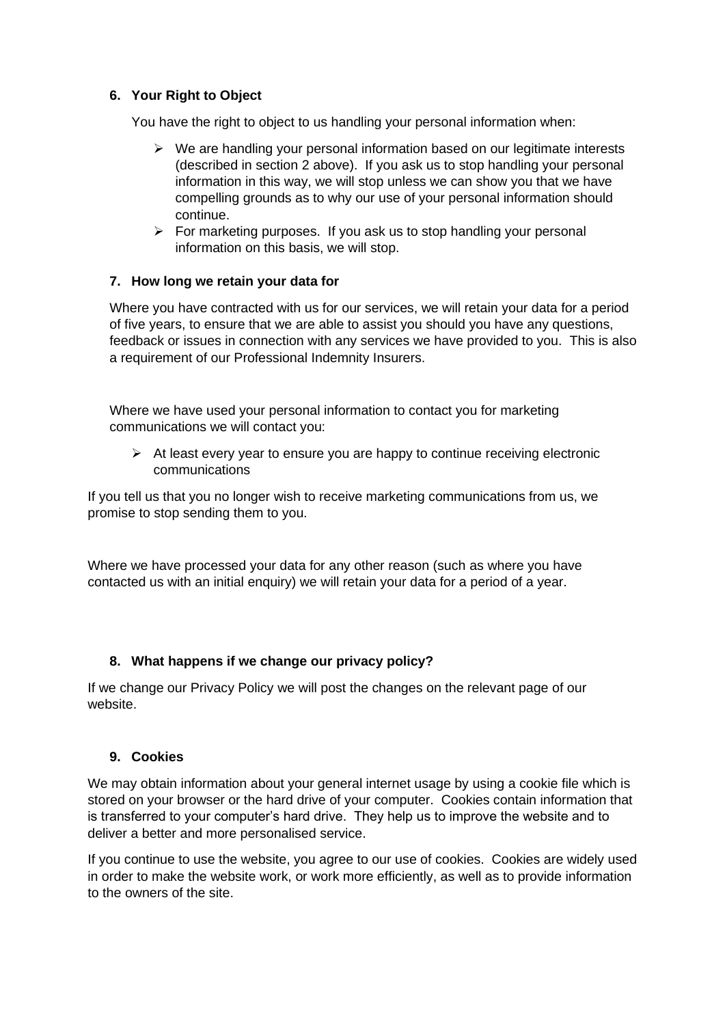## **6. Your Right to Object**

You have the right to object to us handling your personal information when:

- ➢ We are handling your personal information based on our legitimate interests (described in section 2 above). If you ask us to stop handling your personal information in this way, we will stop unless we can show you that we have compelling grounds as to why our use of your personal information should continue.
- ➢ For marketing purposes. If you ask us to stop handling your personal information on this basis, we will stop.

#### **7. How long we retain your data for**

Where you have contracted with us for our services, we will retain your data for a period of five years, to ensure that we are able to assist you should you have any questions, feedback or issues in connection with any services we have provided to you. This is also a requirement of our Professional Indemnity Insurers.

Where we have used your personal information to contact you for marketing communications we will contact you:

 $\triangleright$  At least every year to ensure you are happy to continue receiving electronic communications

If you tell us that you no longer wish to receive marketing communications from us, we promise to stop sending them to you.

Where we have processed your data for any other reason (such as where you have contacted us with an initial enquiry) we will retain your data for a period of a year.

## **8. What happens if we change our privacy policy?**

If we change our Privacy Policy we will post the changes on the relevant page of our website.

#### **9. Cookies**

We may obtain information about your general internet usage by using a cookie file which is stored on your browser or the hard drive of your computer. Cookies contain information that is transferred to your computer's hard drive. They help us to improve the website and to deliver a better and more personalised service.

If you continue to use the website, you agree to our use of cookies. Cookies are widely used in order to make the website work, or work more efficiently, as well as to provide information to the owners of the site.